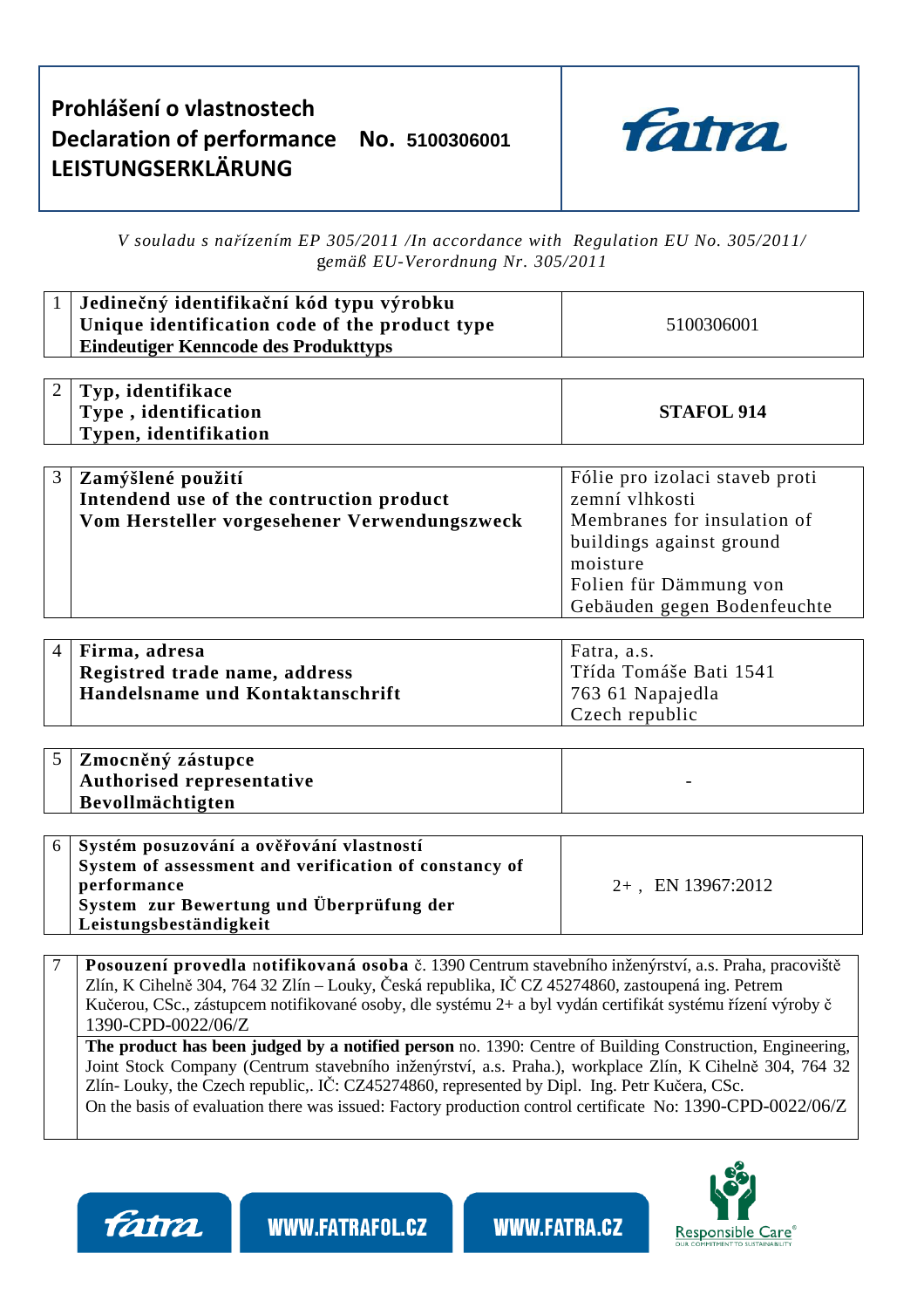## **Prohlášení o vlastnostech Declaration of performance No. 5100306001 LEISTUNGSERKLÄRUNG**



*V souladu s nařízením EP 305/2011 /In accordance with Regulation EU No. 305/2011/* g*emäß EU-Verordnung Nr. 305/2011* 

|   | Jedinečný identifikační kód typu výrobku<br>Unique identification code of the product type<br><b>Eindeutiger Kenncode des Produkttyps</b> | 5100306001                                                                                                                                                                       |  |  |
|---|-------------------------------------------------------------------------------------------------------------------------------------------|----------------------------------------------------------------------------------------------------------------------------------------------------------------------------------|--|--|
|   | Typ, identifikace<br>Type, identification<br>Typen, identifikation                                                                        | <b>STAFOL 914</b>                                                                                                                                                                |  |  |
| 3 | Zamýšlené použití<br>Intendend use of the contruction product<br>Vom Hersteller vorgesehener Verwendungszweck                             | Fólie pro izolaci staveb proti<br>zemní vlhkosti<br>Membranes for insulation of<br>buildings against ground<br>moisture<br>Folien für Dämmung von<br>Gebäuden gegen Bodenfeuchte |  |  |

| 4   Firma, adresa                | Fatra, a.s.            |  |  |
|----------------------------------|------------------------|--|--|
| Registred trade name, address    | Třída Tomáše Bati 1541 |  |  |
| Handelsname und Kontaktanschrift | 763 61 Napajedla       |  |  |
|                                  | Czech republic         |  |  |

| $5$   Zmocněný zástupce   |  |
|---------------------------|--|
| Authorised representative |  |
| Bevollmächtigten          |  |

| 6 Systém posuzování a ověřování vlastností<br>System of assessment and verification of constancy of |                      |
|-----------------------------------------------------------------------------------------------------|----------------------|
| performance                                                                                         | $2+$ , EN 13967:2012 |
| System zur Bewertung und Überprüfung der                                                            |                      |
| Leistungsbeständigkeit                                                                              |                      |

7 **Posouzení provedla** n**otifikovaná osoba** č. 1390 Centrum stavebního inženýrství, a.s. Praha, pracoviště Zlín, K Cihelně 304, 764 32 Zlín – Louky, Česká republika, IČ CZ 45274860, zastoupená ing. Petrem Kučerou, CSc., zástupcem notifikované osoby, dle systému 2+ a byl vydán certifikát systému řízení výroby č 1390-CPD-0022/06/Z

**The product has been judged by a notified person** no. 1390: Centre of Building Construction, Engineering, Joint Stock Company (Centrum stavebního inženýrství, a.s. Praha.), workplace Zlín, K Cihelně 304, 764 32 Zlín- Louky, the Czech republic,. IČ: CZ45274860, represented by Dipl. Ing. Petr Kučera, CSc. On the basis of evaluation there was issued: Factory production control certificate No: 1390-CPD-0022/06/Z

fatra



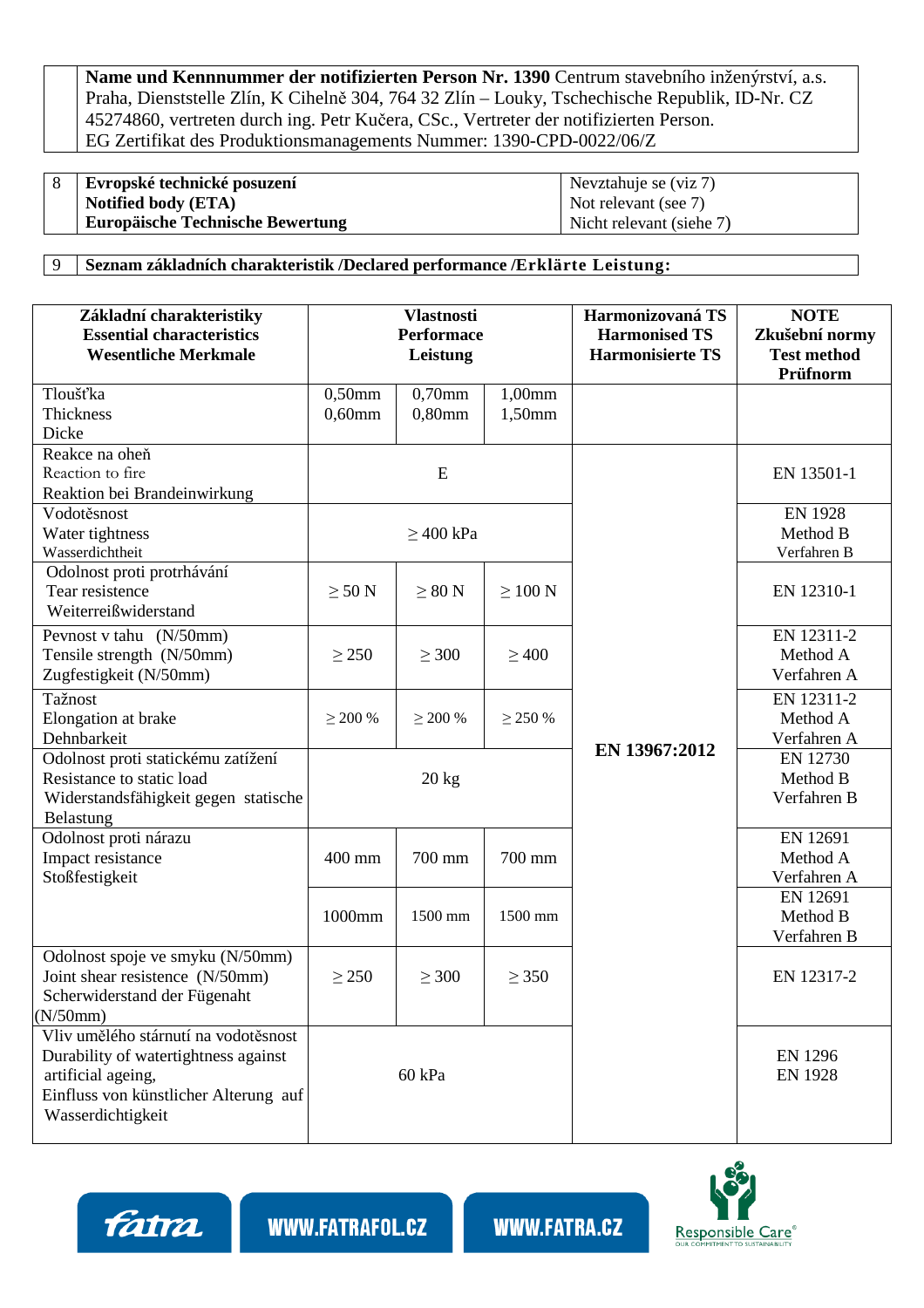**Name und Kennnummer der notifizierten Person Nr. 1390** Centrum stavebního inženýrství, a.s. Praha, Dienststelle Zlín, K Cihelně 304, 764 32 Zlín – Louky, Tschechische Republik, ID-Nr. CZ 45274860, vertreten durch ing. Petr Kučera, CSc., Vertreter der notifizierten Person. EG Zertifikat des Produktionsmanagements Nummer: 1390-CPD-0022/06/Z

| <sup>o</sup> | Evropské technické posuzení             | Nevztahuje se (viz 7)    |
|--------------|-----------------------------------------|--------------------------|
|              | Notified body (ETA)                     | Not relevant (see 7)     |
|              | <b>Europäische Technische Bewertung</b> | Nicht relevant (siehe 7) |

9 **Seznam základních charakteristik /Declared performance /Erklärte Leistung:**

| Základní charakteristiky<br><b>Essential characteristics</b><br><b>Wesentliche Merkmale</b>                                                                      | <b>Vlastnosti</b><br><b>Performace</b><br>Leistung |                        | Harmonizovaná TS<br><b>Harmonised TS</b><br><b>Harmonisierte TS</b> | <b>NOTE</b><br>Zkušební normy<br><b>Test method</b><br>Prüfnorm |                                       |
|------------------------------------------------------------------------------------------------------------------------------------------------------------------|----------------------------------------------------|------------------------|---------------------------------------------------------------------|-----------------------------------------------------------------|---------------------------------------|
| Tloušťka<br><b>Thickness</b><br>Dicke                                                                                                                            | $0,50$ mm<br>$0,60$ mm                             | $0,70$ mm<br>$0,80$ mm | 1,00mm<br>1,50mm                                                    |                                                                 |                                       |
| Reakce na oheň<br>Reaction to fire<br>Reaktion bei Brandeinwirkung                                                                                               | E                                                  |                        |                                                                     | EN 13501-1                                                      |                                       |
| Vodotěsnost<br>Water tightness<br>Wasserdichtheit                                                                                                                | $\geq$ 400 kPa                                     |                        |                                                                     | <b>EN 1928</b><br>Method B<br>Verfahren B                       |                                       |
| Odolnost proti protrhávání<br>Tear resistence<br>Weiterreißwiderstand                                                                                            | $\geq 50$ N                                        | $\geq 80$ N            | $\geq 100$ N                                                        |                                                                 | EN 12310-1                            |
| Pevnost v tahu (N/50mm)<br>Tensile strength (N/50mm)<br>Zugfestigkeit (N/50mm)                                                                                   | $\geq$ 250                                         | $\geq 300$             | $\geq 400$                                                          |                                                                 | EN 12311-2<br>Method A<br>Verfahren A |
| Tažnost<br>Elongation at brake<br>Dehnbarkeit                                                                                                                    | $\geq 200\%$                                       | $\geq$ 200 %           | $\geq$ 250 %                                                        |                                                                 | EN 12311-2<br>Method A<br>Verfahren A |
| Odolnost proti statickému zatížení<br>Resistance to static load<br>Widerstandsfähigkeit gegen statische<br>Belastung                                             | $20$ kg                                            |                        | EN 13967:2012                                                       | EN 12730<br>Method B<br>Verfahren B                             |                                       |
| Odolnost proti nárazu<br>Impact resistance<br>Stoßfestigkeit                                                                                                     | 400 mm                                             | 700 mm                 | 700 mm                                                              |                                                                 | EN 12691<br>Method A<br>Verfahren A   |
|                                                                                                                                                                  | 1000mm                                             | 1500 mm                | 1500 mm                                                             |                                                                 | EN 12691<br>Method B<br>Verfahren B   |
| Odolnost spoje ve smyku (N/50mm)<br>Joint shear resistence (N/50mm)<br>Scherwiderstand der Fügenaht<br>(N/50mm)                                                  | $\geq$ 250                                         | $\geq 300$             | $\geq$ 350                                                          |                                                                 | EN 12317-2                            |
| Vliv umělého stárnutí na vodotěsnost<br>Durability of watertightness against<br>artificial ageing,<br>Einfluss von künstlicher Alterung auf<br>Wasserdichtigkeit |                                                    | 60 kPa                 |                                                                     |                                                                 | <b>EN 1296</b><br><b>EN 1928</b>      |